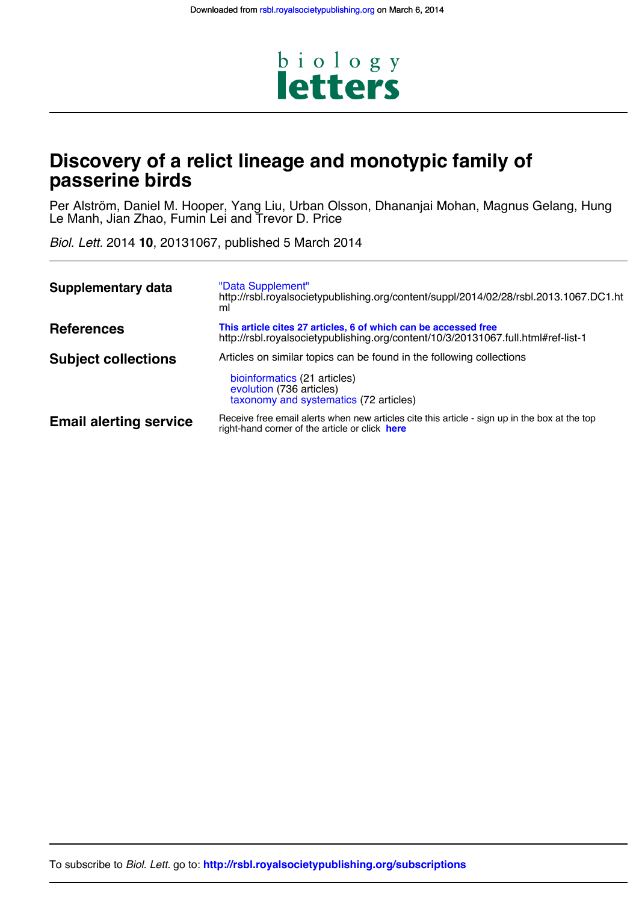

## **passerine birds Discovery of a relict lineage and monotypic family of**

Le Manh, Jian Zhao, Fumin Lei and Trevor D. Price Per Alström, Daniel M. Hooper, Yang Liu, Urban Olsson, Dhananjai Mohan, Magnus Gelang, Hung

*Biol. Lett.* 2014 **10**, 20131067, published 5 March 2014

| <b>Supplementary data</b>     | "Data Supplement"<br>http://rsbl.royalsocietypublishing.org/content/suppl/2014/02/28/rsbl.2013.1067.DC1.ht<br>ml                                                           |
|-------------------------------|----------------------------------------------------------------------------------------------------------------------------------------------------------------------------|
| <b>References</b>             | This article cites 27 articles, 6 of which can be accessed free<br>http://rsbl.royalsocietypublishing.org/content/10/3/20131067.full.html#ref-list-1                       |
| <b>Subject collections</b>    | Articles on similar topics can be found in the following collections<br>bioinformatics (21 articles)<br>evolution (736 articles)<br>taxonomy and systematics (72 articles) |
| <b>Email alerting service</b> | Receive free email alerts when new articles cite this article - sign up in the box at the top<br>right-hand corner of the article or click here                            |

To subscribe to *Biol. Lett.* go to: **<http://rsbl.royalsocietypublishing.org/subscriptions>**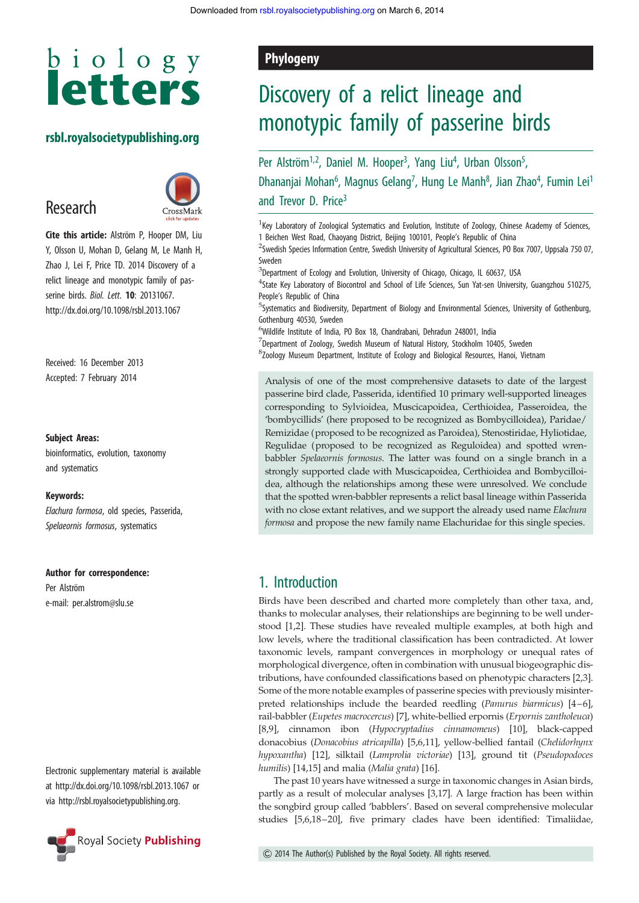# $b$  i o  $l$  o g y **letters**

#### rsbl.royalsocietypublishing.org

## Research



Cite this article: Alström P, Hooper DM, Liu Y, Olsson U, Mohan D, Gelang M, Le Manh H, Zhao J, Lei F, Price TD. 2014 Discovery of a relict lineage and monotypic family of passerine birds. Biol. Lett. **10**: 20131067. http://dx.doi.org/10.1098/rsbl.2013.1067

Received: 16 December 2013 Accepted: 7 February 2014

#### Subject Areas:

bioinformatics, evolution, taxonomy and systematics

#### Keywords:

Elachura formosa, old species, Passerida, Spelaeornis formosus, systematics

#### Author for correspondence:

Per Alström e-mail: [per.alstrom@slu.se](mailto:per.alstrom@slu.se)

Electronic supplementary material is available at<http://dx.doi.org/10.1098/rsbl.2013.1067> or via<http://rsbl.royalsocietypublishing.org>.



### Phylogeny

# Discovery of a relict lineage and monotypic family of passerine birds

Per Alström<sup>1,2</sup>, Daniel M. Hooper<sup>3</sup>, Yang Liu<sup>4</sup>, Urban Olsson<sup>5</sup> , Dhananjai Mohan<sup>6</sup>, Magnus Gelang<sup>7</sup>, Hung Le Manh<sup>8</sup>, Jian Zhao<sup>4</sup>, Fumin Lei<sup>1</sup> and Trevor D. Price<sup>3</sup>

<sup>1</sup> Key Laboratory of Zoological Systematics and Evolution, Institute of Zoology, Chinese Academy of Sciences, 1 Beichen West Road, Chaoyang District, Beijing 100101, People's Republic of China

<sup>2</sup>Swedish Species Information Centre, Swedish University of Agricultural Sciences, PO Box 7007, Uppsala 750 07, Sweden

<sup>3</sup>Department of Ecology and Evolution, University of Chicago, Chicago, IL 60637, USA

<sup>4</sup>State Key Laboratory of Biocontrol and School of Life Sciences, Sun Yat-sen University, Guangzhou 510275, People's Republic of China

5 Systematics and Biodiversity, Department of Biology and Environmental Sciences, University of Gothenburg, Gothenburg 40530, Sweden

6 Wildlife Institute of India, PO Box 18, Chandrabani, Dehradun 248001, India

 $^7$ Department of Zoology, Swedish Museum of Natural History, Stockholm 10405, Sweden

8 Zoology Museum Department, Institute of Ecology and Biological Resources, Hanoi, Vietnam

Analysis of one of the most comprehensive datasets to date of the largest passerine bird clade, Passerida, identified 10 primary well-supported lineages corresponding to Sylvioidea, Muscicapoidea, Certhioidea, Passeroidea, the 'bombycillids' (here proposed to be recognized as Bombycilloidea), Paridae/ Remizidae (proposed to be recognized as Paroidea), Stenostiridae, Hyliotidae, Regulidae (proposed to be recognized as Reguloidea) and spotted wrenbabbler Spelaeornis formosus. The latter was found on a single branch in a strongly supported clade with Muscicapoidea, Certhioidea and Bombycilloidea, although the relationships among these were unresolved. We conclude that the spotted wren-babbler represents a relict basal lineage within Passerida with no close extant relatives, and we support the already used name Elachura formosa and propose the new family name Elachuridae for this single species.

### 1. Introduction

Birds have been described and charted more completely than other taxa, and, thanks to molecular analyses, their relationships are beginning to be well understood [\[1](#page-4-0),[2](#page-4-0)]. These studies have revealed multiple examples, at both high and low levels, where the traditional classification has been contradicted. At lower taxonomic levels, rampant convergences in morphology or unequal rates of morphological divergence, often in combination with unusual biogeographic distributions, have confounded classifications based on phenotypic characters [[2,3\]](#page-4-0). Some of the more notable examples of passerine species with previously misinterpreted relationships include the bearded reedling (Panurus biarmicus) [\[4](#page-4-0)–[6\]](#page-4-0), rail-babbler (Eupetes macrocercus) [\[7\]](#page-4-0), white-bellied erpornis (Erpornis zantholeuca) [[8,9\]](#page-4-0), cinnamon ibon (Hypocryptadius cinnamomeus) [[10\]](#page-4-0), black-capped donacobius (Donacobius atricapilla) [[5,6,11](#page-4-0)], yellow-bellied fantail (Chelidorhynx hypoxantha) [[12\]](#page-4-0), silktail (Lamprolia victoriae) [[13\]](#page-4-0), ground tit (Pseudopodoces humilis) [\[14,15](#page-4-0)] and malia (Malia grata) [[16\]](#page-4-0).

The past 10 years have witnessed a surge in taxonomic changes in Asian birds, partly as a result of molecular analyses [\[3,17\]](#page-4-0). A large fraction has been within the songbird group called 'babblers'. Based on several comprehensive molecular studies [\[5,6,18](#page-4-0)–[20](#page-4-0)], five primary clades have been identified: Timaliidae,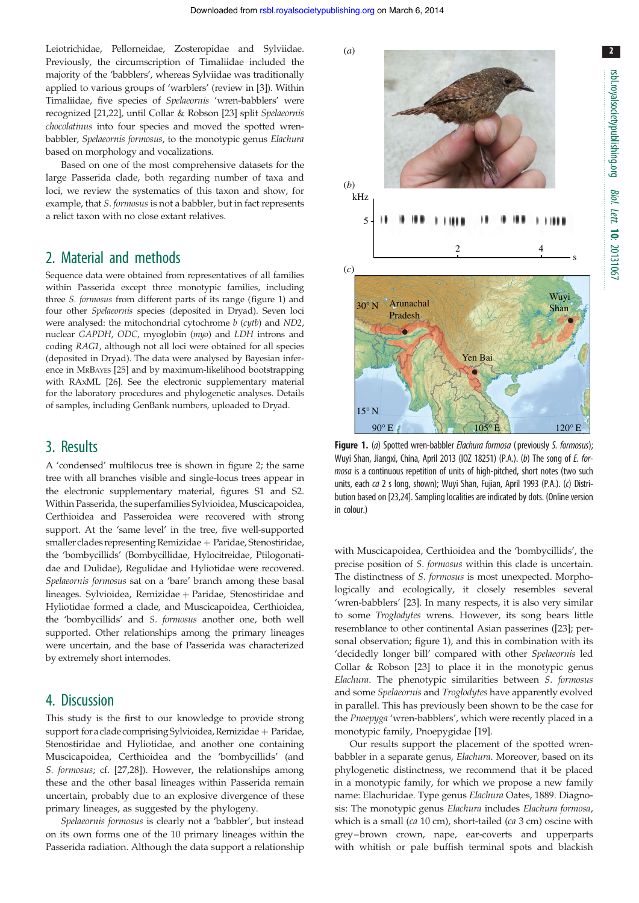(*a*)

<span id="page-2-0"></span>Leiotrichidae, Pellorneidae, Zosteropidae and Sylviidae. Previously, the circumscription of Timaliidae included the majority of the 'babblers', whereas Sylviidae was traditionally applied to various groups of 'warblers' (review in [[3](#page-4-0)]). Within Timaliidae, five species of Spelaeornis 'wren-babblers' were recognized [\[21,22](#page-4-0)], until Collar & Robson [\[23](#page-4-0)] split Spelaeornis chocolatinus into four species and moved the spotted wrenbabbler, Spelaeornis formosus, to the monotypic genus Elachura based on morphology and vocalizations.

Based on one of the most comprehensive datasets for the large Passerida clade, both regarding number of taxa and loci, we review the systematics of this taxon and show, for example, that S. formosus is not a babbler, but in fact represents a relict taxon with no close extant relatives.

#### 2. Material and methods

Sequence data were obtained from representatives of all families within Passerida except three monotypic families, including three S. formosus from different parts of its range (figure 1) and four other Spelaeornis species (deposited in Dryad). Seven loci were analysed: the mitochondrial cytochrome  $b$  (cytb) and ND2, nuclear GAPDH, ODC, myoglobin (myo) and LDH introns and coding RAG1, although not all loci were obtained for all species (deposited in Dryad). The data were analysed by Bayesian inference in MRBAYES [[25](#page-5-0)] and by maximum-likelihood bootstrapping with RAxML [\[26\]](#page-5-0). See the electronic supplementary material for the laboratory procedures and phylogenetic analyses. Details of samples, including GenBank numbers, uploaded to Dryad.

#### 3. Results

A 'condensed' multilocus tree is shown in [figure 2;](#page-3-0) the same tree with all branches visible and single-locus trees appear in the electronic supplementary material, figures S1 and S2. Within Passerida, the superfamilies Sylvioidea, Muscicapoidea, Certhioidea and Passeroidea were recovered with strong support. At the 'same level' in the tree, five well-supported  $s$ maller clades representing Remizidae + Paridae, Stenostiridae, the 'bombycillids' (Bombycillidae, Hylocitreidae, Ptilogonatidae and Dulidae), Regulidae and Hyliotidae were recovered. Spelaeornis formosus sat on a 'bare' branch among these basal lineages. Sylvioidea, Remizidae + Paridae, Stenostiridae and Hyliotidae formed a clade, and Muscicapoidea, Certhioidea, the 'bombycillids' and S. formosus another one, both well supported. Other relationships among the primary lineages were uncertain, and the base of Passerida was characterized by extremely short internodes.

#### 4. Discussion

This study is the first to our knowledge to provide strong support for a clade comprising Sylvioidea, Remizidae + Paridae, Stenostiridae and Hyliotidae, and another one containing Muscicapoidea, Certhioidea and the 'bombycillids' (and S. formosus; cf. [[27,28\]](#page-5-0)). However, the relationships among these and the other basal lineages within Passerida remain uncertain, probably due to an explosive divergence of these primary lineages, as suggested by the phylogeny.

Spelaeornis formosus is clearly not a 'babbler', but instead on its own forms one of the 10 primary lineages within the Passerida radiation. Although the data support a relationship



Wuyi Shan, Jiangxi, China, April 2013 (IOZ 18251) (P.A.). (b) The song of E. formosa is a continuous repetition of units of high-pitched, short notes (two such units, each ca 2 s long, shown); Wuyi Shan, Fujian, April 1993 (P.A.). (c) Distribution based on [\[23](#page-4-0)[,24](#page-5-0)]. Sampling localities are indicated by dots. (Online version in colour.)

with Muscicapoidea, Certhioidea and the 'bombycillids', the precise position of S. formosus within this clade is uncertain. The distinctness of S. formosus is most unexpected. Morphologically and ecologically, it closely resembles several 'wren-babblers' [[23\]](#page-4-0). In many respects, it is also very similar to some Troglodytes wrens. However, its song bears little resemblance to other continental Asian passerines ([[23\]](#page-4-0); personal observation; figure 1), and this in combination with its 'decidedly longer bill' compared with other Spelaeornis led Collar & Robson [\[23](#page-4-0)] to place it in the monotypic genus Elachura. The phenotypic similarities between S. formosus and some Spelaeornis and Troglodytes have apparently evolved in parallel. This has previously been shown to be the case for the Pnoepyga 'wren-babblers', which were recently placed in a monotypic family, Pnoepygidae [[19](#page-4-0)].

Our results support the placement of the spotted wrenbabbler in a separate genus, Elachura. Moreover, based on its phylogenetic distinctness, we recommend that it be placed in a monotypic family, for which we propose a new family name: Elachuridae. Type genus Elachura Oates, 1889. Diagnosis: The monotypic genus Elachura includes Elachura formosa, which is a small (ca 10 cm), short-tailed (ca 3 cm) oscine with grey –brown crown, nape, ear-coverts and upperparts with whitish or pale buffish terminal spots and blackish 2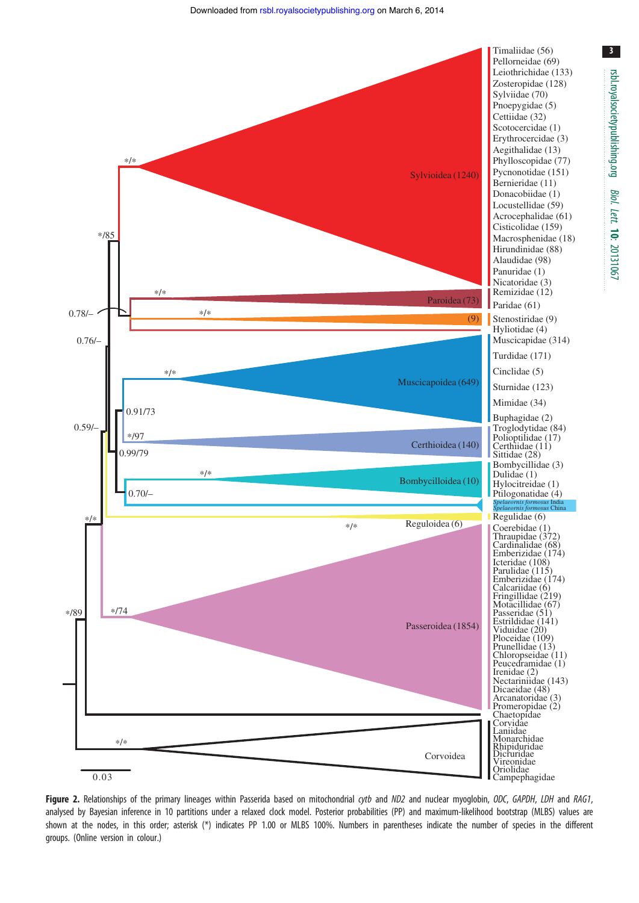<span id="page-3-0"></span>

Figure 2. Relationships of the primary lineages within Passerida based on mitochondrial cytb and ND2 and nuclear myoglobin, ODC, GAPDH, LDH and RAG1, analysed by Bayesian inference in 10 partitions under a relaxed clock model. Posterior probabilities (PP) and maximum-likelihood bootstrap (MLBS) values are shown at the nodes, in this order; asterisk (\*) indicates PP 1.00 or MLBS 100%. Numbers in parentheses indicate the number of species in the different groups. (Online version in colour.)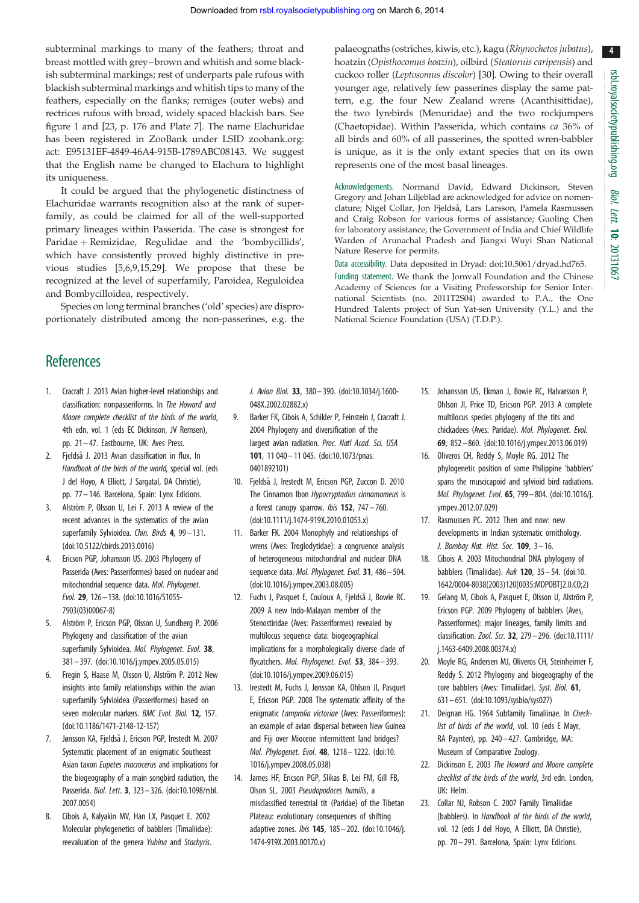4

<span id="page-4-0"></span>subterminal markings to many of the feathers; throat and breast mottled with grey–brown and whitish and some blackish subterminal markings; rest of underparts pale rufous with blackish subterminal markings and whitish tips to many of the feathers, especially on the flanks; remiges (outer webs) and rectrices rufous with broad, widely spaced blackish bars. See [figure 1](#page-2-0) and [23, p. 176 and Plate 7]. The name Elachuridae has been registered in ZooBank under LSID<zoobank.org>: act: E95131EF-4849-46A4-915B-1789ABC08143. We suggest that the English name be changed to Elachura to highlight its uniqueness.

It could be argued that the phylogenetic distinctness of Elachuridae warrants recognition also at the rank of superfamily, as could be claimed for all of the well-supported primary lineages within Passerida. The case is strongest for Paridae + Remizidae, Regulidae and the 'bombycillids', which have consistently proved highly distinctive in previous studies [5,6,9,15,[29\]](#page-5-0). We propose that these be recognized at the level of superfamily, Paroidea, Reguloidea and Bombycilloidea, respectively.

Species on long terminal branches ('old' species) are disproportionately distributed among the non-passerines, e.g. the palaeognaths (ostriches, kiwis, etc.), kagu (Rhynochetos jubatus), hoatzin (Opisthocomus hoazin), oilbird (Steatornis caripensis) and cuckoo roller (Leptosomus discolor) [\[30](#page-5-0)]. Owing to their overall younger age, relatively few passerines display the same pattern, e.g. the four New Zealand wrens (Acanthisittidae), the two lyrebirds (Menuridae) and the two rockjumpers (Chaetopidae). Within Passerida, which contains ca 36% of all birds and 60% of all passerines, the spotted wren-babbler is unique, as it is the only extant species that on its own represents one of the most basal lineages.

Acknowledgements. Normand David, Edward Dickinson, Steven Gregory and Johan Liljeblad are acknowledged for advice on nomenclature; Nigel Collar, Jon Fjeldså, Lars Larsson, Pamela Rasmussen and Craig Robson for various forms of assistance; Guoling Chen for laboratory assistance; the Government of India and Chief Wildlife Warden of Arunachal Pradesh and Jiangxi Wuyi Shan National Nature Reserve for permits.

Data accessibility. Data deposited in Dryad: [doi:10.5061/dryad.hd765](http://dx.doi.org/10.5061/dryad.hd765). Funding statement. We thank the Jornvall Foundation and the Chinese Academy of Sciences for a Visiting Professorship for Senior International Scientists (no. 2011T2S04) awarded to P.A., the One Hundred Talents project of Sun Yat-sen University (Y.L.) and the National Science Foundation (USA) (T.D.P.).

## **References**

- 1. Cracraft J. 2013 Avian higher-level relationships and classification: nonpasseriforms. In The Howard and Moore complete checklist of the birds of the world, 4th edn, vol. 1 (eds EC Dickinson, JV Remsen), pp. 21 – 47. Eastbourne, UK: Aves Press.
- 2. Fjeldså J. 2013 Avian classification in flux. In Handbook of the birds of the world, special vol. (eds J del Hoyo, A Elliott, J Sargatal, DA Christie), pp. 77 – 146. Barcelona, Spain: Lynx Edicions.
- 3. Alström P, Olsson U, Lei F. 2013 A review of the recent advances in the systematics of the avian superfamily Sylvioidea. Chin. Birds 4, 99-131. [\(doi:10.5122/cbirds.2013.0016](http://dx.doi.org/10.5122/cbirds.2013.0016))
- 4. Ericson PGP, Johansson US. 2003 Phylogeny of Passerida (Aves: Passeriformes) based on nuclear and mitochondrial sequence data. Mol. Phylogenet. Evol. 29, 126– 138. [\(doi:10.1016/S1055-](http://dx.doi.org/10.1016/S1055-7903(03)00067-8) [7903\(03\)00067-8\)](http://dx.doi.org/10.1016/S1055-7903(03)00067-8)
- 5. Alström P, Ericson PGP, Olsson U, Sundberg P. 2006 Phylogeny and classification of the avian superfamily Sylvioidea. Mol. Phylogenet. Evol. 38, 381– 397. ([doi:10.1016/j.ympev.2005.05.015](http://dx.doi.org/10.1016/j.ympev.2005.05.015))
- 6. Fregin S, Haase M, Olsson U, Alström P. 2012 New insights into family relationships within the avian superfamily Sylvioidea (Passeriformes) based on seven molecular markers. BMC Evol. Biol. 12, 157. [\(doi:10.1186/1471-2148-12-157](http://dx.doi.org/10.1186/1471-2148-12-157))
- 7. Jønsson KA, Fjeldså J, Ericson PGP, Irestedt M. 2007 Systematic placement of an enigmatic Southeast Asian taxon Eupetes macrocerus and implications for the biogeography of a main songbird radiation, the Passerida. Biol. Lett. 3, 323– 326. ([doi:10.1098/rsbl.](http://dx.doi.org/10.1098/rsbl.2007.0054) [2007.0054\)](http://dx.doi.org/10.1098/rsbl.2007.0054)
- 8. Cibois A, Kalyakin MV, Han LX, Pasquet E. 2002 Molecular phylogenetics of babblers (Timaliidae): reevaluation of the genera Yuhina and Stachyris.

J. Avian Biol. 33, 380 – 390. ([doi:10.1034/j.1600-](http://dx.doi.org/10.1034/j.1600-048X.2002.02882.x) [048X.2002.02882.x\)](http://dx.doi.org/10.1034/j.1600-048X.2002.02882.x)

- 9. Barker FK, Cibois A, Schikler P, Feinstein J, Cracraft J. 2004 Phylogeny and diversification of the largest avian radiation. Proc. Natl Acad. Sci. USA 101, 11 040– 11 045. [\(doi:10.1073/pnas.](http://dx.doi.org/10.1073/pnas.0401892101) [0401892101\)](http://dx.doi.org/10.1073/pnas.0401892101)
- 10. Fjeldsa˚ J, Irestedt M, Ericson PGP, Zuccon D. 2010 The Cinnamon Ibon Hypocryptadius cinnamomeus is a forest canopy sparrow. *Ibis* **152**,  $747 - 760$ . [\(doi:10.1111/j.1474-919X.2010.01053.x](http://dx.doi.org/10.1111/j.1474-919X.2010.01053.x))
- 11. Barker FK. 2004 Monophyly and relationships of wrens (Aves: Troglodytidae): a congruence analysis of heterogeneous mitochondrial and nuclear DNA sequence data. Mol. Phylogenet. Evol. 31, 486 - 504. [\(doi:10.1016/j.ympev.2003.08.005\)](http://dx.doi.org/10.1016/j.ympev.2003.08.005)
- 12. Fuchs J, Pasquet E, Couloux A, Fjeldså J, Bowie RC. 2009 A new Indo-Malayan member of the Stenostiridae (Aves: Passeriformes) revealed by multilocus sequence data: biogeographical implications for a morphologically diverse clade of flycatchers. Mol. Phylogenet. Evol. 53, 384– 393. [\(doi:10.1016/j.ympev.2009.06.015\)](http://dx.doi.org/10.1016/j.ympev.2009.06.015)
- 13. Irestedt M, Fuchs J, Jønsson KA, Ohlson JI, Pasquet E, Ericson PGP. 2008 The systematic affinity of the enigmatic Lamprolia victoriae (Aves: Passeriformes): an example of avian dispersal between New Guinea and Fiji over Miocene intermittent land bridges? Mol. Phylogenet. Evol. 48, 1218– 1222. ([doi:10.](http://dx.doi.org/10.1016/j.ympev.2008.05.038) [1016/j.ympev.2008.05.038](http://dx.doi.org/10.1016/j.ympev.2008.05.038))
- 14. James HF, Ericson PGP, Slikas B, Lei FM, Gill FB, Olson SL. 2003 Pseudopodoces humilis, a misclassified terrestrial tit (Paridae) of the Tibetan Plateau: evolutionary consequences of shifting adaptive zones. Ibis 145, 185– 202. [\(doi:10.1046/j.](http://dx.doi.org/10.1046/j.1474-919X.2003.00170.x) [1474-919X.2003.00170.x\)](http://dx.doi.org/10.1046/j.1474-919X.2003.00170.x)
- 15. Johansson US, Ekman J, Bowie RC, Halvarsson P, Ohlson JI, Price TD, Ericson PGP. 2013 A complete multilocus species phylogeny of the tits and chickadees (Aves: Paridae). Mol. Phylogenet. Evol. 69, 852 – 860. [\(doi:10.1016/j.ympev.2013.06.019\)](http://dx.doi.org/10.1016/j.ympev.2013.06.019)
- 16. Oliveros CH, Reddy S, Moyle RG. 2012 The phylogenetic position of some Philippine 'babblers' spans the muscicapoid and sylvioid bird radiations. Mol. Phylogenet. Evol. 65, 799– 804. ([doi:10.1016/j.](http://dx.doi.org/10.1016/j.ympev.2012.07.029) [ympev.2012.07.029\)](http://dx.doi.org/10.1016/j.ympev.2012.07.029)
- 17. Rasmussen PC. 2012 Then and now: new developments in Indian systematic ornithology. J. Bombay Nat. Hist. Soc.  $109$ ,  $3 - 16$ .
- 18. Cibois A. 2003 Mitochondrial DNA phylogeny of babblers (Timaliidae). Auk 120, 35 – 54. [\(doi:10.](http://dx.doi.org/10.1642/0004-8038(2003)120%5B0035:MDPOBT%5D2.0.CO;2)) [1642/0004-8038\(2003\)120\[0035:MDPOBT\]2.0.CO;2\)](http://dx.doi.org/10.1642/0004-8038(2003)120%5B0035:MDPOBT%5D2.0.CO;2))
- 19. Gelang M, Cibois A, Pasquet E, Olsson U, Alström P, Ericson PGP. 2009 Phylogeny of babblers (Aves, Passeriformes): major lineages, family limits and classification. Zool. Scr. 32, 279 – 296. (doi:10.1111/ j.1463-6409.2008.00374.x)
- 20. Moyle RG, Andersen MJ, Oliveros CH, Steinheimer F, Reddy S. 2012 Phylogeny and biogeography of the core babblers (Aves: Timaliidae). Syst. Biol. 61, 631– 651. [\(doi:10.1093/sysbio/sys027](http://dx.doi.org/10.1093/sysbio/sys027))
- 21. Deignan HG. 1964 Subfamily Timaliinae. In Checklist of birds of the world, vol. 10 (eds E Mayr, RA Paynter), pp. 240– 427. Cambridge, MA: Museum of Comparative Zoology.
- 22. Dickinson E. 2003 The Howard and Moore complete checklist of the birds of the world, 3rd edn. London, UK: Helm.
- 23. Collar NJ, Robson C. 2007 Family Timaliidae (babblers). In Handbook of the birds of the world, vol. 12 (eds J del Hoyo, A Elliott, DA Christie), pp. 70 – 291. Barcelona, Spain: Lynx Edicions.